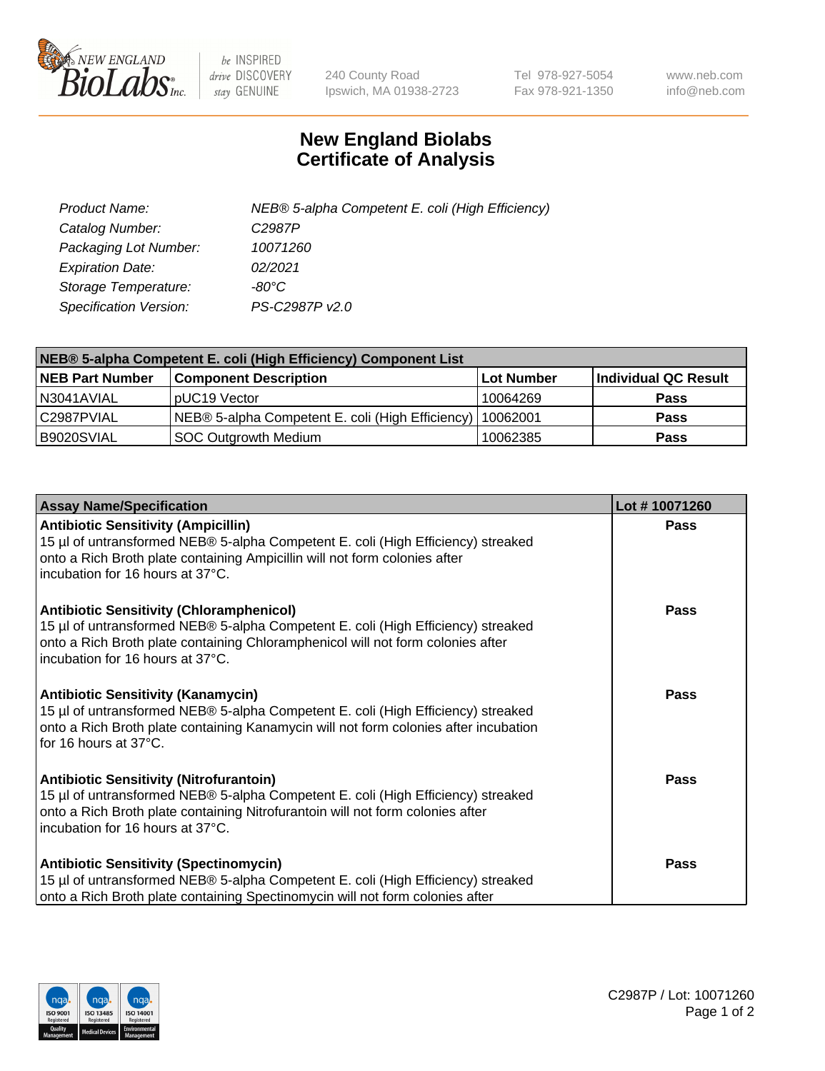

 $be$  INSPIRED drive DISCOVERY stay GENUINE

240 County Road Ipswich, MA 01938-2723 Tel 978-927-5054 Fax 978-921-1350 www.neb.com info@neb.com

## **New England Biolabs Certificate of Analysis**

| Product Name:                 | NEB® 5-alpha Competent E. coli (High Efficiency) |
|-------------------------------|--------------------------------------------------|
| Catalog Number:               | C <sub>2987</sub> P                              |
| Packaging Lot Number:         | 10071260                                         |
| <b>Expiration Date:</b>       | 02/2021                                          |
| Storage Temperature:          | -80°C                                            |
| <b>Specification Version:</b> | PS-C2987P v2.0                                   |

| NEB® 5-alpha Competent E. coli (High Efficiency) Component List |                                                  |            |                      |  |
|-----------------------------------------------------------------|--------------------------------------------------|------------|----------------------|--|
| <b>NEB Part Number</b>                                          | <b>Component Description</b>                     | Lot Number | Individual QC Result |  |
| N3041AVIAL                                                      | pUC19 Vector                                     | 10064269   | <b>Pass</b>          |  |
| C2987PVIAL                                                      | NEB® 5-alpha Competent E. coli (High Efficiency) | 10062001   | <b>Pass</b>          |  |
| B9020SVIAL                                                      | SOC Outgrowth Medium                             | 10062385   | <b>Pass</b>          |  |

| <b>Assay Name/Specification</b>                                                                                                                                                                                                                            | Lot #10071260 |
|------------------------------------------------------------------------------------------------------------------------------------------------------------------------------------------------------------------------------------------------------------|---------------|
| <b>Antibiotic Sensitivity (Ampicillin)</b><br>15 µl of untransformed NEB® 5-alpha Competent E. coli (High Efficiency) streaked<br>onto a Rich Broth plate containing Ampicillin will not form colonies after<br>incubation for 16 hours at 37°C.           | <b>Pass</b>   |
| <b>Antibiotic Sensitivity (Chloramphenicol)</b><br>15 µl of untransformed NEB® 5-alpha Competent E. coli (High Efficiency) streaked<br>onto a Rich Broth plate containing Chloramphenicol will not form colonies after<br>incubation for 16 hours at 37°C. | Pass          |
| Antibiotic Sensitivity (Kanamycin)<br>15 µl of untransformed NEB® 5-alpha Competent E. coli (High Efficiency) streaked<br>onto a Rich Broth plate containing Kanamycin will not form colonies after incubation<br>for 16 hours at 37°C.                    | Pass          |
| <b>Antibiotic Sensitivity (Nitrofurantoin)</b><br>15 µl of untransformed NEB® 5-alpha Competent E. coli (High Efficiency) streaked<br>onto a Rich Broth plate containing Nitrofurantoin will not form colonies after<br>incubation for 16 hours at 37°C.   | <b>Pass</b>   |
| <b>Antibiotic Sensitivity (Spectinomycin)</b><br>15 µl of untransformed NEB® 5-alpha Competent E. coli (High Efficiency) streaked<br>onto a Rich Broth plate containing Spectinomycin will not form colonies after                                         | Pass          |